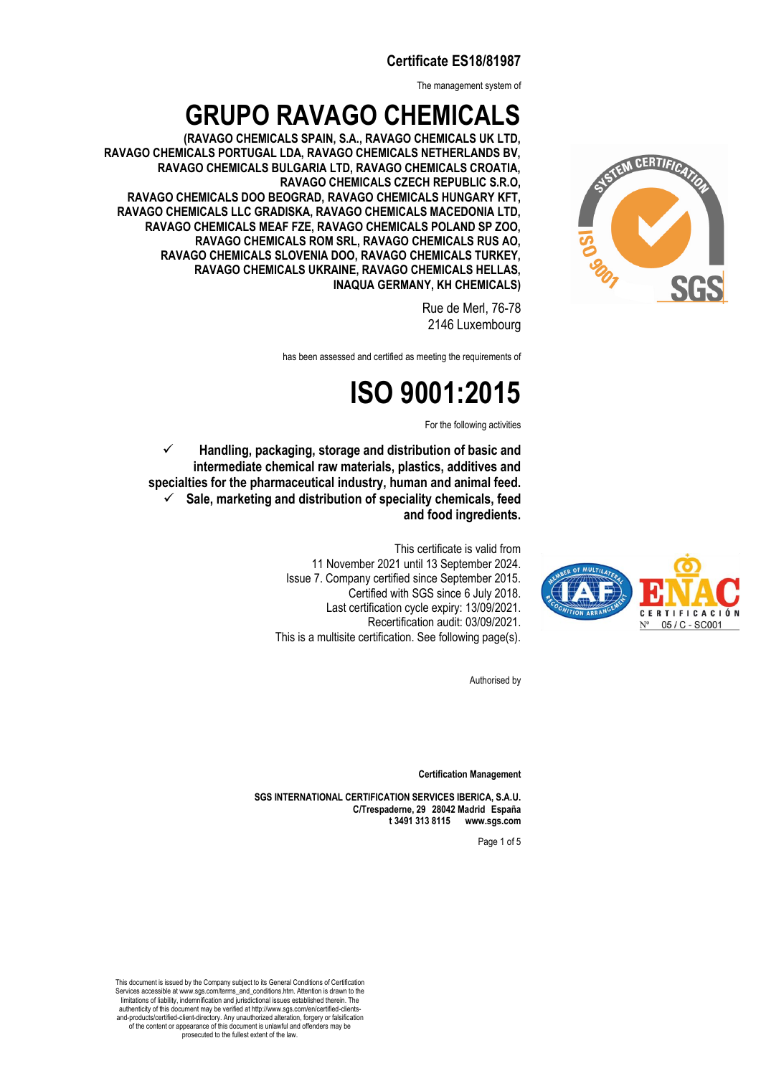The management system of

### **GRUPO RAVAGO CHEMICALS**

**(RAVAGO CHEMICALS SPAIN, S.A., RAVAGO CHEMICALS UK LTD, RAVAGO CHEMICALS PORTUGAL LDA, RAVAGO CHEMICALS NETHERLANDS BV, RAVAGO CHEMICALS BULGARIA LTD, RAVAGO CHEMICALS CROATIA, RAVAGO CHEMICALS CZECH REPUBLIC S.R.O, RAVAGO CHEMICALS DOO BEOGRAD, RAVAGO CHEMICALS HUNGARY KFT, RAVAGO CHEMICALS LLC GRADISKA, RAVAGO CHEMICALS MACEDONIA LTD, INAQUA GERMANY, KH CHEMICALS) RAVAGO CHEMICALS MEAF FZE, RAVAGO CHEMICALS POLAND SP ZOO, RAVAGO CHEMICALS ROM SRL, RAVAGO CHEMICALS RUS AO, RAVAGO CHEMICALS SLOVENIA DOO, RAVAGO CHEMICALS TURKEY, RAVAGO CHEMICALS UKRAINE, RAVAGO CHEMICALS HELLAS,** 

> Rue de Merl, 76-78 2146 Luxembourg

has been assessed and certified as meeting the requirements of

## **ISO 9001:2015**

For the following activities

✓ **Handling, packaging, storage and distribution of basic and intermediate chemical raw materials, plastics, additives and specialties for the pharmaceutical industry, human and animal feed.**  ✓ **Sale, marketing and distribution of speciality chemicals, feed and food ingredients.** 

> This certificate is valid from 11 November 2021 until 13 September 2024. Issue 7. Company certified since September 2015. Certified with SGS since 6 July 2018. Last certification cycle expiry: 13/09/2021. Recertification audit: 03/09/2021. This is a multisite certification. See following page(s).

> > Authorised by

**Certification Management**

**SGS INTERNATIONAL CERTIFICATION SERVICES IBERICA, S.A.U. C/Trespaderne, 29□28042 Madrid□España t 3491 313 8115□ □www.sgs.com**

Page 1 of 5

This document is issued by the Company subject to its General Conditions of Certification Services accessible at www.sgs.com/terms\_and\_conditions.htm. Attention is drawn to the limitations of liability, indemnification and jurisdictional issues established therein. The authenticity of this document may be verified at http://www.sgs.com/en/certified-clientsand-products/certified-client-directory. Any unauthorized alteration, forgery or falsification of the content or appearance of this document is unlawful and offenders may be . .<br>prosecuted to the fullest extent of the law.





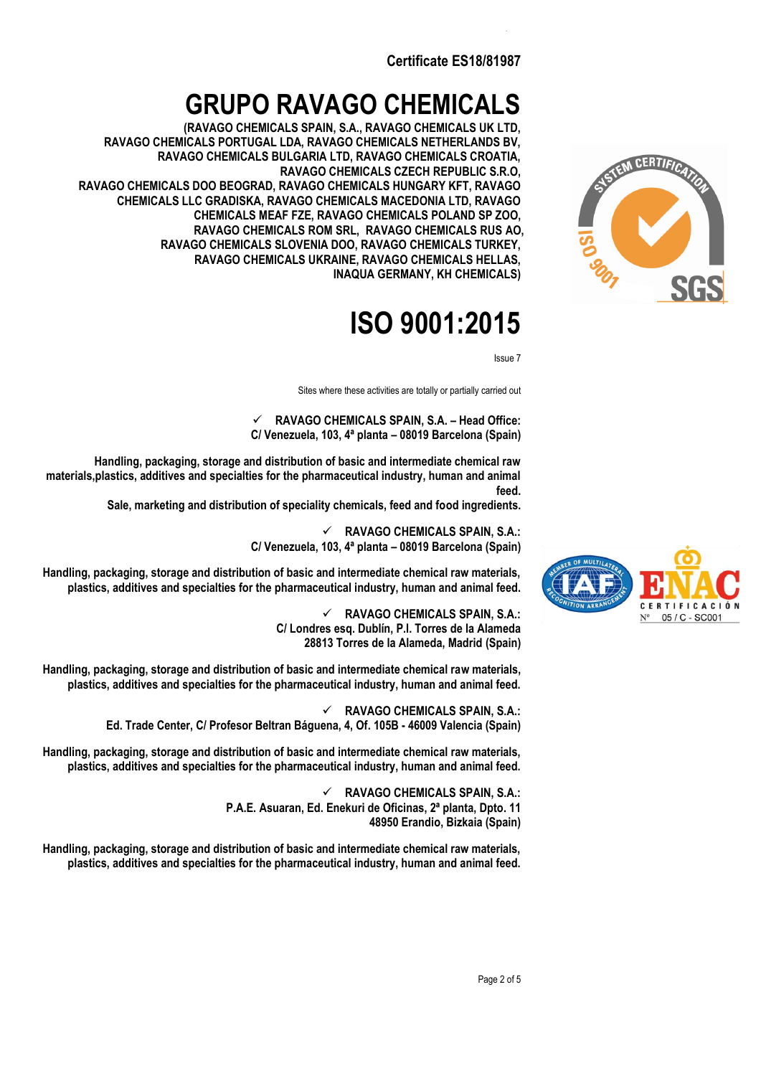### **GRUPO RAVAGO CHEMICALS**

**(RAVAGO CHEMICALS SPAIN, S.A., RAVAGO CHEMICALS UK LTD, RAVAGO CHEMICALS PORTUGAL LDA, RAVAGO CHEMICALS NETHERLANDS BV, RAVAGO CHEMICALS BULGARIA LTD, RAVAGO CHEMICALS CROATIA, RAVAGO CHEMICALS CZECH REPUBLIC S.R.O, RAVAGO CHEMICALS DOO BEOGRAD, RAVAGO CHEMICALS HUNGARY KFT, RAVAGO CHEMICALS LLC GRADISKA, RAVAGO CHEMICALS MACEDONIA LTD, RAVAGO RAVAGO CHEMICALS SLOVENIA DOO, RAVAGO CHEMICALS TURKEY, RAVAGO CHEMICALS UKRAINE, RAVAGO CHEMICALS HELLAS, INAQUA GERMANY, KH CHEMICALS) CHEMICALS MEAF FZE, RAVAGO CHEMICALS POLAND SP ZOO, RAVAGO CHEMICALS ROM SRL, RAVAGO CHEMICALS RUS AO,** 

## **ISO 9001:2015**

Issue 7

Sites where these activities are totally or partially carried out

✓ **RAVAGO CHEMICALS SPAIN, S.A. – Head Office: C/ Venezuela, 103, 4ª planta – 08019 Barcelona (Spain)**

**Handling, packaging, storage and distribution of basic and intermediate chemical raw materials,plastics, additives and specialties for the pharmaceutical industry, human and animal feed.**

**Sale, marketing and distribution of speciality chemicals, feed and food ingredients.**

✓ **RAVAGO CHEMICALS SPAIN, S.A.: C/ Venezuela, 103, 4ª planta – 08019 Barcelona (Spain)**

**Handling, packaging, storage and distribution of basic and intermediate chemical raw materials, plastics, additives and specialties for the pharmaceutical industry, human and animal feed.**

> ✓ **RAVAGO CHEMICALS SPAIN, S.A.: C/ Londres esq. Dublín, P.I. Torres de la Alameda 28813 Torres de la Alameda, Madrid (Spain)**

**Handling, packaging, storage and distribution of basic and intermediate chemical raw materials, plastics, additives and specialties for the pharmaceutical industry, human and animal feed.**

> ✓ **RAVAGO CHEMICALS SPAIN, S.A.: Ed. Trade Center, C/ Profesor Beltran Báguena, 4, Of. 105B - 46009 Valencia (Spain)**

**Handling, packaging, storage and distribution of basic and intermediate chemical raw materials, plastics, additives and specialties for the pharmaceutical industry, human and animal feed.**

> ✓ **RAVAGO CHEMICALS SPAIN, S.A.: P.A.E. Asuaran, Ed. Enekuri de Oficinas, 2ª planta, Dpto. 11 48950 Erandio, Bizkaia (Spain)**

**Handling, packaging, storage and distribution of basic and intermediate chemical raw materials, plastics, additives and specialties for the pharmaceutical industry, human and animal feed.**



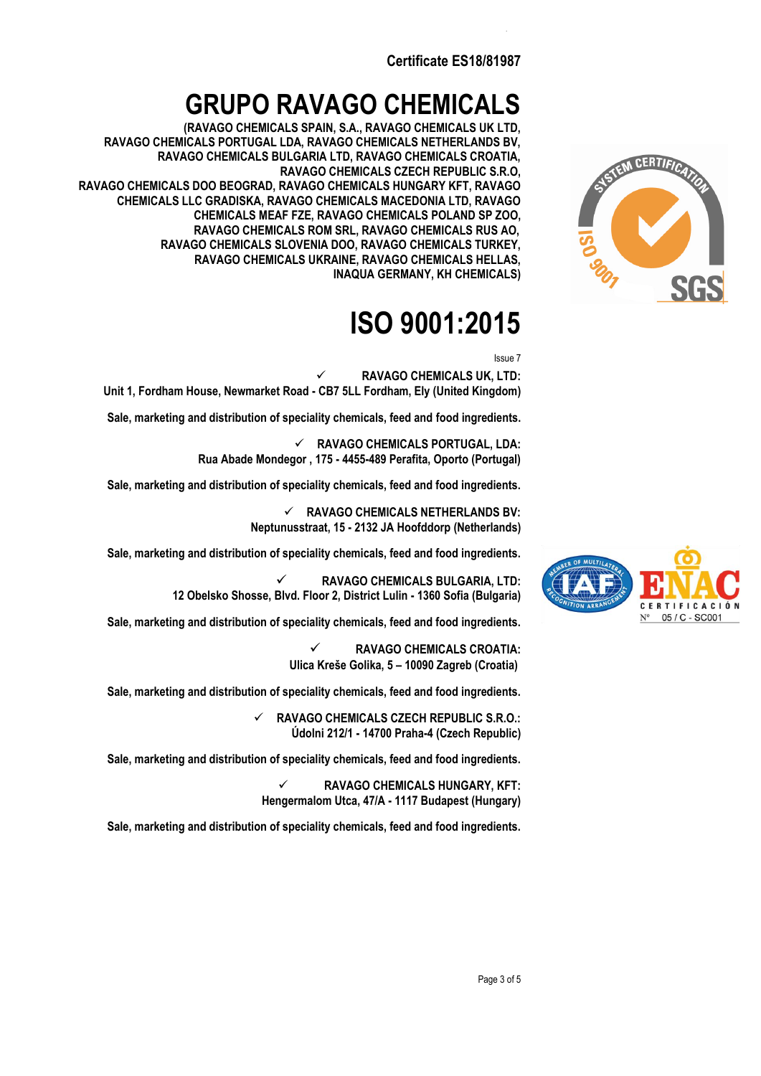### **GRUPO RAVAGO CHEMICALS**

**(RAVAGO CHEMICALS SPAIN, S.A., RAVAGO CHEMICALS UK LTD, RAVAGO CHEMICALS PORTUGAL LDA, RAVAGO CHEMICALS NETHERLANDS BV, RAVAGO CHEMICALS BULGARIA LTD, RAVAGO CHEMICALS CROATIA, RAVAGO CHEMICALS CZECH REPUBLIC S.R.O, RAVAGO CHEMICALS DOO BEOGRAD, RAVAGO CHEMICALS HUNGARY KFT, RAVAGO CHEMICALS LLC GRADISKA, RAVAGO CHEMICALS MACEDONIA LTD, RAVAGO RAVAGO CHEMICALS SLOVENIA DOO, RAVAGO CHEMICALS TURKEY, RAVAGO CHEMICALS UKRAINE, RAVAGO CHEMICALS HELLAS, INAQUA GERMANY, KH CHEMICALS) CHEMICALS MEAF FZE, RAVAGO CHEMICALS POLAND SP ZOO, RAVAGO CHEMICALS ROM SRL, RAVAGO CHEMICALS RUS AO,** 

## **ISO 9001:2015**

Issue 7

✓ **RAVAGO CHEMICALS UK, LTD: Unit 1, Fordham House, Newmarket Road - CB7 5LL Fordham, Ely (United Kingdom)**

**Sale, marketing and distribution of speciality chemicals, feed and food ingredients.**

✓ **RAVAGO CHEMICALS PORTUGAL, LDA: Rua Abade Mondegor , 175 - 4455-489 Perafita, Oporto (Portugal)**

**Sale, marketing and distribution of speciality chemicals, feed and food ingredients.**

✓ **RAVAGO CHEMICALS NETHERLANDS BV: Neptunusstraat, 15 - 2132 JA Hoofddorp (Netherlands)**

**Sale, marketing and distribution of speciality chemicals, feed and food ingredients.**

✓ **RAVAGO CHEMICALS BULGARIA, LTD: 12 Obelsko Shosse, Blvd. Floor 2, District Lulin - 1360 Sofia (Bulgaria)**

**Sale, marketing and distribution of speciality chemicals, feed and food ingredients.**

✓ **RAVAGO CHEMICALS CROATIA: Ulica Kreše Golika, 5 – 10090 Zagreb (Croatia)**

**Sale, marketing and distribution of speciality chemicals, feed and food ingredients.**

✓ **RAVAGO CHEMICALS CZECH REPUBLIC S.R.O.: Údolni 212/1 - 14700 Praha-4 (Czech Republic)**

**Sale, marketing and distribution of speciality chemicals, feed and food ingredients.**

✓ **RAVAGO CHEMICALS HUNGARY, KFT: Hengermalom Utca, 47/A - 1117 Budapest (Hungary)**

**Sale, marketing and distribution of speciality chemicals, feed and food ingredients.**



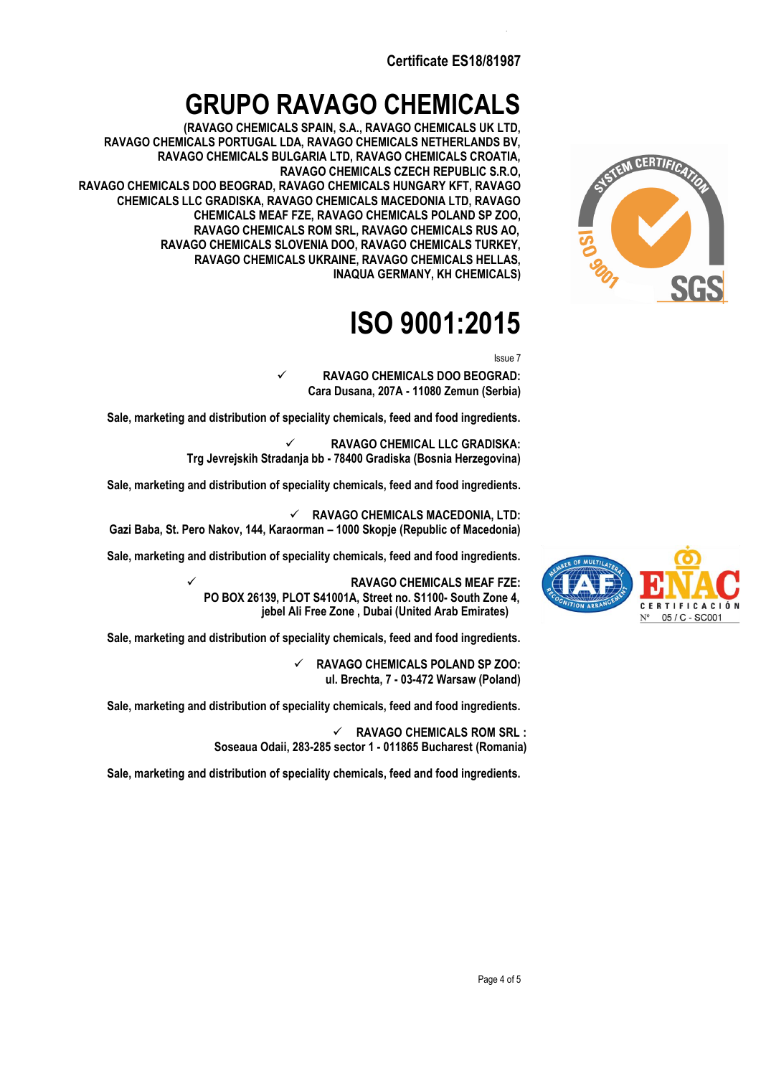## **GRUPO RAVAGO CHEMICALS**

**(RAVAGO CHEMICALS SPAIN, S.A., RAVAGO CHEMICALS UK LTD, RAVAGO CHEMICALS PORTUGAL LDA, RAVAGO CHEMICALS NETHERLANDS BV, RAVAGO CHEMICALS BULGARIA LTD, RAVAGO CHEMICALS CROATIA, RAVAGO CHEMICALS CZECH REPUBLIC S.R.O, RAVAGO CHEMICALS DOO BEOGRAD, RAVAGO CHEMICALS HUNGARY KFT, RAVAGO CHEMICALS LLC GRADISKA, RAVAGO CHEMICALS MACEDONIA LTD, RAVAGO RAVAGO CHEMICALS SLOVENIA DOO, RAVAGO CHEMICALS TURKEY, RAVAGO CHEMICALS UKRAINE, RAVAGO CHEMICALS HELLAS, INAQUA GERMANY, KH CHEMICALS) CHEMICALS MEAF FZE, RAVAGO CHEMICALS POLAND SP ZOO, RAVAGO CHEMICALS ROM SRL, RAVAGO CHEMICALS RUS AO,** 

# **ISO 9001:2015**

Issue 7

✓ **RAVAGO CHEMICALS DOO BEOGRAD: Cara Dusana, 207A - 11080 Zemun (Serbia)**

**Sale, marketing and distribution of speciality chemicals, feed and food ingredients.**

✓ **RAVAGO CHEMICAL LLC GRADISKA: Trg Jevrejskih Stradanja bb - 78400 Gradiska (Bosnia Herzegovina)**

**Sale, marketing and distribution of speciality chemicals, feed and food ingredients.**

✓ **RAVAGO CHEMICALS MACEDONIA, LTD: Gazi Baba, St. Pero Nakov, 144, Karaorman – 1000 Skopje (Republic of Macedonia)** 

**Sale, marketing and distribution of speciality chemicals, feed and food ingredients.**

**jebel Ali Free Zone , Dubai (United Arab Emirates)**  ✓ **RAVAGO CHEMICALS MEAF FZE: PO BOX 26139, PLOT S41001A, Street no. S1100- South Zone 4,**

**Sale, marketing and distribution of speciality chemicals, feed and food ingredients.**

✓ **RAVAGO CHEMICALS POLAND SP ZOO: ul. Brechta, 7 - 03-472 Warsaw (Poland)**

**Sale, marketing and distribution of speciality chemicals, feed and food ingredients.**

✓ **RAVAGO CHEMICALS ROM SRL : Soseaua Odaii, 283-285 sector 1 - 011865 Bucharest (Romania)**

**Sale, marketing and distribution of speciality chemicals, feed and food ingredients.**